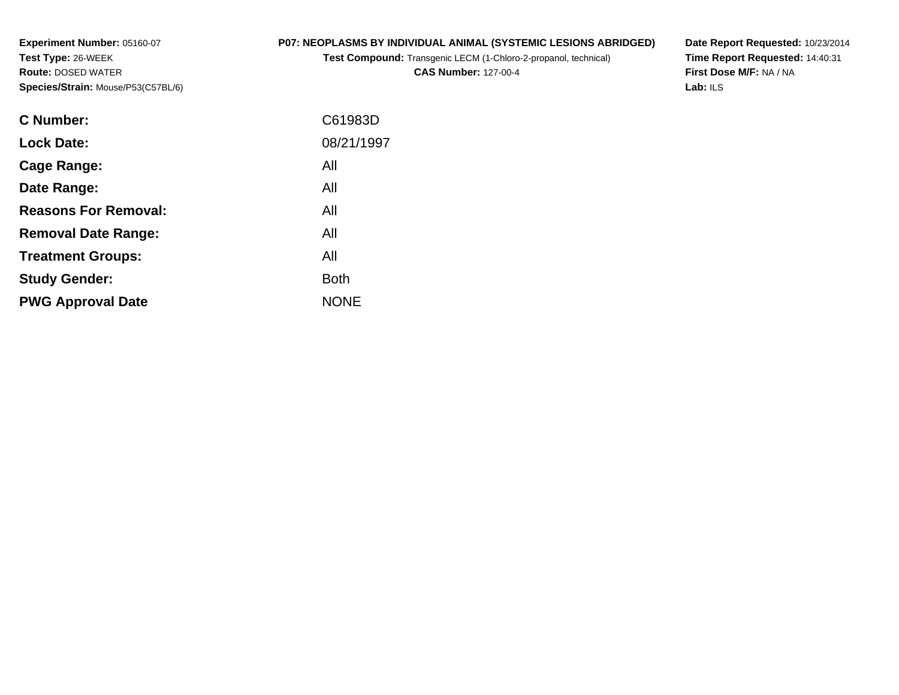**Experiment Number:** 05160-07**Test Type:** 26-WEEK **Route:** DOSED WATER**Species/Strain:** Mouse/P53(C57BL/6)

## **P07: NEOPLASMS BY INDIVIDUAL ANIMAL (SYSTEMIC LESIONS ABRIDGED)**

**Test Compound:** Transgenic LECM (1-Chloro-2-propanol, technical)

**CAS Number:** 127-00-4

**Date Report Requested:** 10/23/2014 **Time Report Requested:** 14:40:31**First Dose M/F:** NA / NA**Lab:** ILS

| C Number:                   | C61983D     |
|-----------------------------|-------------|
| <b>Lock Date:</b>           | 08/21/1997  |
| Cage Range:                 | All         |
| Date Range:                 | All         |
| <b>Reasons For Removal:</b> | All         |
| <b>Removal Date Range:</b>  | All         |
| <b>Treatment Groups:</b>    | All         |
| <b>Study Gender:</b>        | <b>Both</b> |
| <b>PWG Approval Date</b>    | <b>NONE</b> |
|                             |             |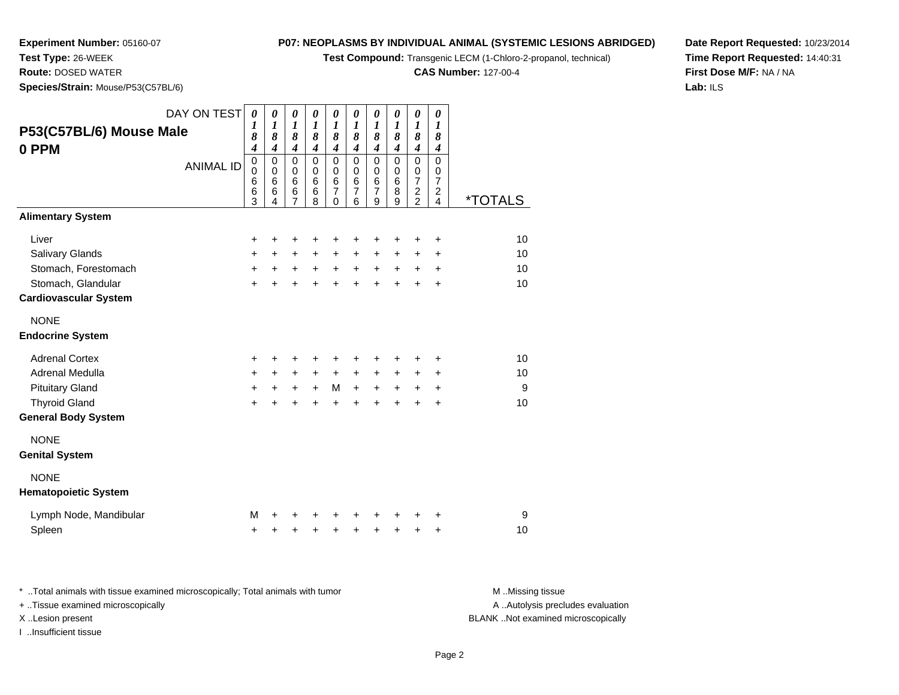**Test Compound:** Transgenic LECM (1-Chloro-2-propanol, technical)

**CAS Number:** 127-00-4

**Date Report Requested:** 10/23/2014**Time Report Requested:** 14:40:31**First Dose M/F:** NA / NA**Lab:** ILS

 **Route:** DOSED WATER**Species/Strain:** Mouse/P53(C57BL/6)

**Experiment Number:** 05160-07

**Test Type:** 26-WEEK

| P53(C57BL/6) Mouse Male<br>0 PPM           | DAY ON TEST<br><b>ANIMAL ID</b> | $\boldsymbol{\theta}$<br>$\boldsymbol{l}$<br>8<br>$\boldsymbol{4}$<br>$\mathbf 0$<br>$\mathbf 0$<br>$6\phantom{1}6$<br>$6\phantom{1}6$<br>3 | 0<br>$\boldsymbol{l}$<br>8<br>4<br>$\mathbf 0$<br>$\mathbf 0$<br>6<br>6<br>4 | 0<br>$\boldsymbol{l}$<br>8<br>4<br>$\mathbf 0$<br>$\mathbf 0$<br>6<br>6<br>$\overline{7}$ | $\boldsymbol{\theta}$<br>$\boldsymbol{l}$<br>8<br>$\boldsymbol{4}$<br>$\mathbf 0$<br>$\mathbf 0$<br>$6\phantom{1}$<br>6<br>8 | 0<br>$\boldsymbol{l}$<br>8<br>$\boldsymbol{4}$<br>$\mathbf 0$<br>$\mathbf 0$<br>$6\phantom{1}6$<br>$\overline{7}$<br>0 | 0<br>$\boldsymbol{l}$<br>8<br>$\boldsymbol{4}$<br>$\mathbf 0$<br>0<br>$6\phantom{1}$<br>$\overline{7}$<br>6 | 0<br>$\boldsymbol{l}$<br>8<br>$\boldsymbol{4}$<br>0<br>0<br>$6\phantom{1}6$<br>$\overline{7}$<br>9 | 0<br>$\boldsymbol{l}$<br>8<br>$\boldsymbol{4}$<br>$\mathbf 0$<br>0<br>$6\phantom{1}$<br>8<br>9 | 0<br>$\boldsymbol{l}$<br>8<br>$\boldsymbol{4}$<br>$\mathbf 0$<br>$\pmb{0}$<br>$\overline{7}$<br>$\overline{c}$<br>$\overline{c}$ | 0<br>$\boldsymbol{l}$<br>8<br>$\boldsymbol{4}$<br>$\Omega$<br>0<br>$\overline{7}$<br>$\overline{c}$<br>4 | <i><b>*TOTALS</b></i> |
|--------------------------------------------|---------------------------------|---------------------------------------------------------------------------------------------------------------------------------------------|------------------------------------------------------------------------------|-------------------------------------------------------------------------------------------|------------------------------------------------------------------------------------------------------------------------------|------------------------------------------------------------------------------------------------------------------------|-------------------------------------------------------------------------------------------------------------|----------------------------------------------------------------------------------------------------|------------------------------------------------------------------------------------------------|----------------------------------------------------------------------------------------------------------------------------------|----------------------------------------------------------------------------------------------------------|-----------------------|
| <b>Alimentary System</b>                   |                                 |                                                                                                                                             |                                                                              |                                                                                           |                                                                                                                              |                                                                                                                        |                                                                                                             |                                                                                                    |                                                                                                |                                                                                                                                  |                                                                                                          |                       |
| Liver                                      |                                 | $\ddot{}$                                                                                                                                   | +                                                                            | +                                                                                         |                                                                                                                              | +                                                                                                                      | +                                                                                                           | +                                                                                                  | +                                                                                              | ٠                                                                                                                                | +                                                                                                        | 10                    |
| Salivary Glands                            |                                 | $\ddot{}$                                                                                                                                   | $\ddot{}$                                                                    | $\ddot{}$                                                                                 | $+$                                                                                                                          | $\ddot{}$                                                                                                              | $\ddot{}$                                                                                                   | $\ddot{}$                                                                                          | +                                                                                              | $\ddot{}$                                                                                                                        | $\ddot{}$                                                                                                | 10                    |
| Stomach, Forestomach                       |                                 | $+$                                                                                                                                         | $\ddot{}$                                                                    | $\ddot{}$                                                                                 | $+$                                                                                                                          | $\ddot{}$                                                                                                              | $+$                                                                                                         | $\ddot{}$                                                                                          | $\ddot{}$                                                                                      | $+$                                                                                                                              | $\ddot{}$                                                                                                | 10                    |
| Stomach, Glandular                         |                                 | $+$                                                                                                                                         | $\ddot{}$                                                                    | $\ddot{}$                                                                                 | $+$                                                                                                                          | $\ddot{}$                                                                                                              | $\ddot{}$                                                                                                   | $\ddot{}$                                                                                          | $\ddot{}$                                                                                      | $\ddot{}$                                                                                                                        | $\ddot{}$                                                                                                | 10                    |
| <b>Cardiovascular System</b>               |                                 |                                                                                                                                             |                                                                              |                                                                                           |                                                                                                                              |                                                                                                                        |                                                                                                             |                                                                                                    |                                                                                                |                                                                                                                                  |                                                                                                          |                       |
| <b>NONE</b><br><b>Endocrine System</b>     |                                 |                                                                                                                                             |                                                                              |                                                                                           |                                                                                                                              |                                                                                                                        |                                                                                                             |                                                                                                    |                                                                                                |                                                                                                                                  |                                                                                                          |                       |
| <b>Adrenal Cortex</b>                      |                                 | $\ddot{}$                                                                                                                                   | ٠                                                                            | ٠                                                                                         |                                                                                                                              | +                                                                                                                      | +                                                                                                           | +                                                                                                  | +                                                                                              | ٠                                                                                                                                | $\ddot{}$                                                                                                | 10                    |
| Adrenal Medulla                            |                                 | $+$                                                                                                                                         | $\ddot{}$                                                                    | $\ddot{}$                                                                                 | $+$                                                                                                                          | $+$                                                                                                                    | $+$                                                                                                         | +                                                                                                  | $\ddot{}$                                                                                      | $\pm$                                                                                                                            | $\ddot{}$                                                                                                | 10                    |
| <b>Pituitary Gland</b>                     |                                 | $+$                                                                                                                                         | +                                                                            | $\ddot{}$                                                                                 | $\ddot{}$                                                                                                                    | M                                                                                                                      | $\ddot{}$                                                                                                   | $\ddot{}$                                                                                          | $\ddot{}$                                                                                      | +                                                                                                                                | $\ddot{}$                                                                                                | 9                     |
| <b>Thyroid Gland</b>                       |                                 | $\ddot{}$                                                                                                                                   | $\ddot{}$                                                                    | $\ddot{}$                                                                                 |                                                                                                                              | $\ddot{}$                                                                                                              | $\ddot{}$                                                                                                   | $\ddot{}$                                                                                          | $\ddot{}$                                                                                      | ÷                                                                                                                                | $\ddot{}$                                                                                                | 10                    |
| <b>General Body System</b>                 |                                 |                                                                                                                                             |                                                                              |                                                                                           |                                                                                                                              |                                                                                                                        |                                                                                                             |                                                                                                    |                                                                                                |                                                                                                                                  |                                                                                                          |                       |
| <b>NONE</b><br><b>Genital System</b>       |                                 |                                                                                                                                             |                                                                              |                                                                                           |                                                                                                                              |                                                                                                                        |                                                                                                             |                                                                                                    |                                                                                                |                                                                                                                                  |                                                                                                          |                       |
| <b>NONE</b><br><b>Hematopoietic System</b> |                                 |                                                                                                                                             |                                                                              |                                                                                           |                                                                                                                              |                                                                                                                        |                                                                                                             |                                                                                                    |                                                                                                |                                                                                                                                  |                                                                                                          |                       |
| Lymph Node, Mandibular                     |                                 | м                                                                                                                                           |                                                                              |                                                                                           |                                                                                                                              |                                                                                                                        | +                                                                                                           | +                                                                                                  | +                                                                                              |                                                                                                                                  | +                                                                                                        | 9                     |
| Spleen                                     |                                 | +                                                                                                                                           | +                                                                            | +                                                                                         | +                                                                                                                            | +                                                                                                                      | +                                                                                                           | +                                                                                                  | +                                                                                              | +                                                                                                                                | +                                                                                                        | 10                    |

\* ..Total animals with tissue examined microscopically; Total animals with tumor **M** . Missing tissue M ..Missing tissue A ..Autolysis precludes evaluation + ..Tissue examined microscopically X ..Lesion present BLANK ..Not examined microscopicallyI ..Insufficient tissue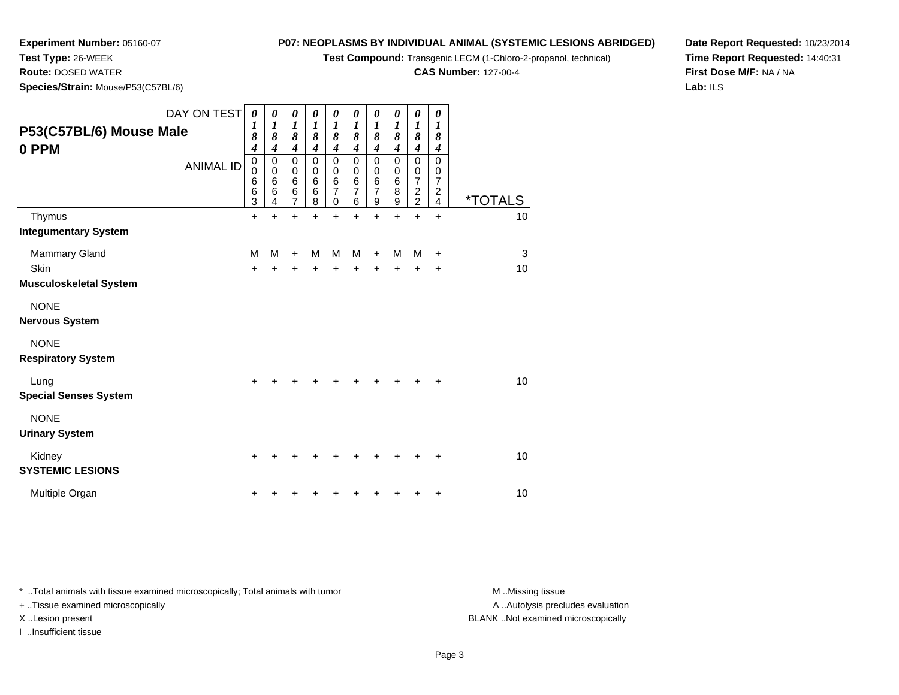**Test Compound:** Transgenic LECM (1-Chloro-2-propanol, technical)

**CAS Number:** 127-00-4

**Date Report Requested:** 10/23/2014**Time Report Requested:** 14:40:31**First Dose M/F:** NA / NA**Lab:** ILS

 **Route:** DOSED WATER**Species/Strain:** Mouse/P53(C57BL/6)

**Experiment Number:** 05160-07

**Test Type:** 26-WEEK

| DAY ON TEST<br>P53(C57BL/6) Mouse Male<br>0 PPM | <b>ANIMAL ID</b> | $\boldsymbol{\theta}$<br>1<br>$\boldsymbol{\delta}$<br>$\boldsymbol{4}$<br>$\mathsf 0$<br>$\mathbf 0$<br>$\,6$<br>$\,6$<br>3 | 0<br>$\boldsymbol{l}$<br>8<br>$\boldsymbol{4}$<br>$\mathbf 0$<br>0<br>$6\phantom{1}6$<br>6<br>4 | 0<br>$\boldsymbol{l}$<br>8<br>$\boldsymbol{4}$<br>$\mathsf 0$<br>0<br>$\,6$<br>$\overline{6}$<br>$\overline{7}$ | 0<br>$\boldsymbol{l}$<br>8<br>$\boldsymbol{4}$<br>$\mathbf 0$<br>0<br>6<br>6<br>8 | 0<br>$\boldsymbol{l}$<br>8<br>$\boldsymbol{4}$<br>0<br>0<br>$\,6$<br>7<br>0 | 0<br>$\boldsymbol{l}$<br>8<br>$\boldsymbol{4}$<br>$\mathbf 0$<br>$\mathbf 0$<br>$\,6$<br>$\overline{7}$<br>6 | 0<br>1<br>8<br>$\boldsymbol{4}$<br>$\pmb{0}$<br>0<br>6<br>7<br>9 | 0<br>$\boldsymbol{l}$<br>8<br>$\boldsymbol{4}$<br>$\mathbf 0$<br>$\mathbf 0$<br>$\,6$<br>8<br>9 | 0<br>$\boldsymbol{l}$<br>8<br>$\boldsymbol{4}$<br>$\mathbf 0$<br>0<br>$\overline{7}$<br>$\boldsymbol{2}$<br>$\overline{2}$ | 0<br>$\boldsymbol{l}$<br>8<br>$\boldsymbol{4}$<br>$\mathbf 0$<br>0<br>$\overline{7}$<br>$\boldsymbol{2}$<br>4 | <i><b>*TOTALS</b></i> |
|-------------------------------------------------|------------------|------------------------------------------------------------------------------------------------------------------------------|-------------------------------------------------------------------------------------------------|-----------------------------------------------------------------------------------------------------------------|-----------------------------------------------------------------------------------|-----------------------------------------------------------------------------|--------------------------------------------------------------------------------------------------------------|------------------------------------------------------------------|-------------------------------------------------------------------------------------------------|----------------------------------------------------------------------------------------------------------------------------|---------------------------------------------------------------------------------------------------------------|-----------------------|
| Thymus                                          |                  | $\ddot{}$                                                                                                                    | +                                                                                               | +                                                                                                               | Ŧ.                                                                                | +                                                                           | $\ddot{}$                                                                                                    | $\ddot{}$                                                        | +                                                                                               | $\ddot{}$                                                                                                                  | $\ddot{}$                                                                                                     | 10                    |
| <b>Integumentary System</b>                     |                  |                                                                                                                              |                                                                                                 |                                                                                                                 |                                                                                   |                                                                             |                                                                                                              |                                                                  |                                                                                                 |                                                                                                                            |                                                                                                               |                       |
| Mammary Gland                                   |                  | M                                                                                                                            | M                                                                                               | $\div$                                                                                                          | M                                                                                 | M                                                                           | M                                                                                                            |                                                                  | M                                                                                               | М                                                                                                                          | $\ddot{}$                                                                                                     | 3                     |
| Skin                                            |                  | $\ddot{}$                                                                                                                    | +                                                                                               | +                                                                                                               | +                                                                                 | +                                                                           |                                                                                                              |                                                                  | +                                                                                               | +                                                                                                                          | +                                                                                                             | 10                    |
| <b>Musculoskeletal System</b>                   |                  |                                                                                                                              |                                                                                                 |                                                                                                                 |                                                                                   |                                                                             |                                                                                                              |                                                                  |                                                                                                 |                                                                                                                            |                                                                                                               |                       |
| <b>NONE</b><br><b>Nervous System</b>            |                  |                                                                                                                              |                                                                                                 |                                                                                                                 |                                                                                   |                                                                             |                                                                                                              |                                                                  |                                                                                                 |                                                                                                                            |                                                                                                               |                       |
| <b>NONE</b><br><b>Respiratory System</b>        |                  |                                                                                                                              |                                                                                                 |                                                                                                                 |                                                                                   |                                                                             |                                                                                                              |                                                                  |                                                                                                 |                                                                                                                            |                                                                                                               |                       |
| Lung<br><b>Special Senses System</b>            |                  | +                                                                                                                            |                                                                                                 |                                                                                                                 |                                                                                   |                                                                             |                                                                                                              |                                                                  |                                                                                                 | ٠                                                                                                                          | +                                                                                                             | 10                    |
| <b>NONE</b><br><b>Urinary System</b>            |                  |                                                                                                                              |                                                                                                 |                                                                                                                 |                                                                                   |                                                                             |                                                                                                              |                                                                  |                                                                                                 |                                                                                                                            |                                                                                                               |                       |
| Kidney<br><b>SYSTEMIC LESIONS</b>               |                  | +                                                                                                                            |                                                                                                 |                                                                                                                 |                                                                                   |                                                                             |                                                                                                              |                                                                  | ┿                                                                                               | +                                                                                                                          | $\ddot{}$                                                                                                     | 10                    |
| Multiple Organ                                  |                  | +                                                                                                                            |                                                                                                 |                                                                                                                 |                                                                                   |                                                                             |                                                                                                              |                                                                  |                                                                                                 |                                                                                                                            | ٠                                                                                                             | 10                    |

\* ..Total animals with tissue examined microscopically; Total animals with tumor **M** . Missing tissue M ..Missing tissue

+ ..Tissue examined microscopically

I ..Insufficient tissue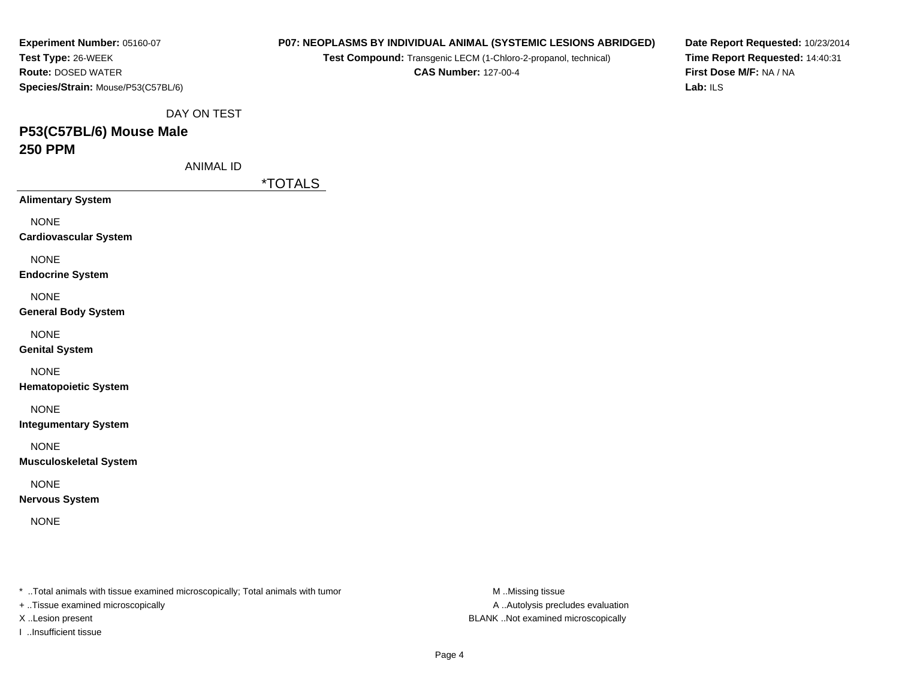| Experiment Number: 05160-07                                                                                         | P07: NEOPLASMS BY INDIVIDUAL ANIMAL (SYSTEMIC LESIONS ABRIDGED) | Date Report Requested: 10/23/2014 |
|---------------------------------------------------------------------------------------------------------------------|-----------------------------------------------------------------|-----------------------------------|
| Test Type: 26-WEEK                                                                                                  | Test Compound: Transgenic LECM (1-Chloro-2-propanol, technical) | Time Report Requested: 14:40:31   |
| Route: DOSED WATER                                                                                                  | <b>CAS Number: 127-00-4</b>                                     | First Dose M/F: NA / NA           |
| Species/Strain: Mouse/P53(C57BL/6)                                                                                  |                                                                 | Lab: $ILS$                        |
| DAY ON TEST                                                                                                         |                                                                 |                                   |
| P53(C57BL/6) Mouse Male                                                                                             |                                                                 |                                   |
| <b>250 PPM</b>                                                                                                      |                                                                 |                                   |
| <b>ANIMAL ID</b>                                                                                                    |                                                                 |                                   |
|                                                                                                                     | <i><b>*TOTALS</b></i>                                           |                                   |
| <b>Alimentary System</b>                                                                                            |                                                                 |                                   |
| <b>NONE</b>                                                                                                         |                                                                 |                                   |
| <b>Cardiovascular System</b>                                                                                        |                                                                 |                                   |
| <b>NONE</b>                                                                                                         |                                                                 |                                   |
| <b>Endocrine System</b>                                                                                             |                                                                 |                                   |
| <b>NONE</b>                                                                                                         |                                                                 |                                   |
| <b>General Body System</b>                                                                                          |                                                                 |                                   |
| <b>NONE</b>                                                                                                         |                                                                 |                                   |
| <b>Genital System</b>                                                                                               |                                                                 |                                   |
| <b>NONE</b>                                                                                                         |                                                                 |                                   |
| <b>Hematopoietic System</b>                                                                                         |                                                                 |                                   |
|                                                                                                                     |                                                                 |                                   |
| <b>NONE</b><br><b>Integumentary System</b>                                                                          |                                                                 |                                   |
|                                                                                                                     |                                                                 |                                   |
| <b>NONE</b><br><b>Musculoskeletal System</b>                                                                        |                                                                 |                                   |
|                                                                                                                     |                                                                 |                                   |
| <b>NONE</b><br><b>Nervous System</b>                                                                                |                                                                 |                                   |
|                                                                                                                     |                                                                 |                                   |
| <b>NONE</b>                                                                                                         |                                                                 |                                   |
|                                                                                                                     |                                                                 |                                   |
|                                                                                                                     |                                                                 |                                   |
|                                                                                                                     |                                                                 |                                   |
|                                                                                                                     |                                                                 |                                   |
| * Total animals with tissue examined microscopically; Total animals with tumor<br>+ Tissue examined microscopically | M Missing tissue<br>A  Autolysis precludes evaluation           |                                   |

X ..Lesion present BLANK ..Not examined microscopically

I ..Insufficient tissue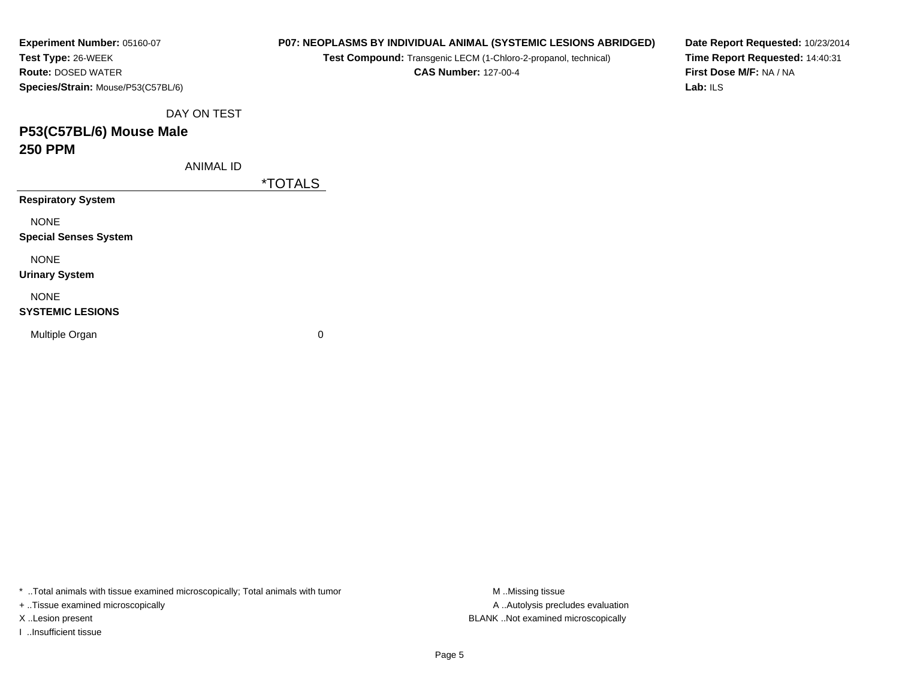| Experiment Number: 05160-07        |             | P07: NEOPLASMS BY INDIVIDUAL ANIMAL (SYSTEMIC LESIONS ABRIDGED) | Date Report Requested: 10/23/2014 |
|------------------------------------|-------------|-----------------------------------------------------------------|-----------------------------------|
| Test Type: 26-WEEK                 |             | Test Compound: Transgenic LECM (1-Chloro-2-propanol, technical) | Time Report Requested: 14:40:31   |
| <b>Route: DOSED WATER</b>          |             | <b>CAS Number: 127-00-4</b>                                     | First Dose M/F: NA / NA           |
| Species/Strain: Mouse/P53(C57BL/6) |             |                                                                 | Lab: ILS                          |
|                                    | DAY ON TEST |                                                                 |                                   |
| P53(C57BL/6) Mouse Male            |             |                                                                 |                                   |
| <b>250 PPM</b>                     |             |                                                                 |                                   |
|                                    | ANIMAL ID   |                                                                 |                                   |
|                                    |             | <i><b>*TOTALS</b></i>                                           |                                   |
| <b>Respiratory System</b>          |             |                                                                 |                                   |
| <b>NONE</b>                        |             |                                                                 |                                   |
| <b>Special Senses System</b>       |             |                                                                 |                                   |
| <b>NONE</b>                        |             |                                                                 |                                   |
| <b>Urinary System</b>              |             |                                                                 |                                   |
| <b>NONE</b>                        |             |                                                                 |                                   |
| <b>SYSTEMIC LESIONS</b>            |             |                                                                 |                                   |
| Multiple Organ                     |             | 0                                                               |                                   |
|                                    |             |                                                                 |                                   |
|                                    |             |                                                                 |                                   |

\* ..Total animals with tissue examined microscopically; Total animals with tumor M..Missing tissue M ..Missing tissue

+ ..Tissue examined microscopically

I ..Insufficient tissue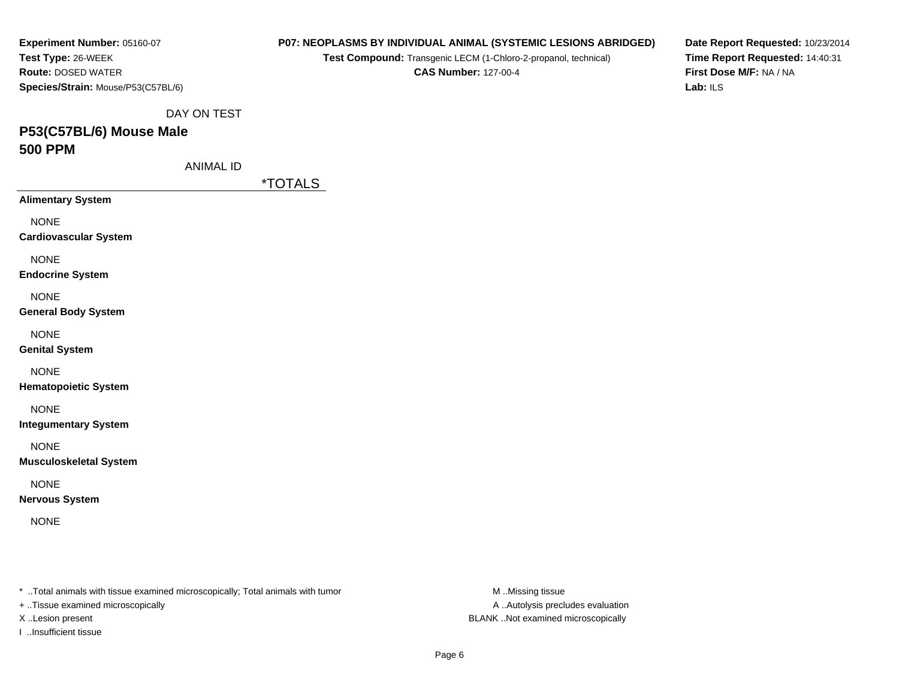| Experiment Number: 05160-07                                                                                         |                       | P07: NEOPLASMS BY INDIVIDUAL ANIMAL (SYSTEMIC LESIONS ABRIDGED) | Date Report Requested: 10/23/2014   |
|---------------------------------------------------------------------------------------------------------------------|-----------------------|-----------------------------------------------------------------|-------------------------------------|
| Test Type: 26-WEEK                                                                                                  |                       | Test Compound: Transgenic LECM (1-Chloro-2-propanol, technical) | Time Report Requested: 14:40:31     |
| Route: DOSED WATER                                                                                                  |                       | <b>CAS Number: 127-00-4</b>                                     | First Dose M/F: NA / NA<br>Lab: ILS |
| Species/Strain: Mouse/P53(C57BL/6)                                                                                  |                       |                                                                 |                                     |
| DAY ON TEST                                                                                                         |                       |                                                                 |                                     |
| P53(C57BL/6) Mouse Male                                                                                             |                       |                                                                 |                                     |
| <b>500 PPM</b>                                                                                                      |                       |                                                                 |                                     |
| <b>ANIMAL ID</b>                                                                                                    |                       |                                                                 |                                     |
|                                                                                                                     | <i><b>*TOTALS</b></i> |                                                                 |                                     |
| <b>Alimentary System</b>                                                                                            |                       |                                                                 |                                     |
| <b>NONE</b>                                                                                                         |                       |                                                                 |                                     |
| <b>Cardiovascular System</b>                                                                                        |                       |                                                                 |                                     |
| <b>NONE</b>                                                                                                         |                       |                                                                 |                                     |
| <b>Endocrine System</b>                                                                                             |                       |                                                                 |                                     |
| <b>NONE</b>                                                                                                         |                       |                                                                 |                                     |
| <b>General Body System</b>                                                                                          |                       |                                                                 |                                     |
| <b>NONE</b>                                                                                                         |                       |                                                                 |                                     |
| <b>Genital System</b>                                                                                               |                       |                                                                 |                                     |
| <b>NONE</b>                                                                                                         |                       |                                                                 |                                     |
| <b>Hematopoietic System</b>                                                                                         |                       |                                                                 |                                     |
| <b>NONE</b>                                                                                                         |                       |                                                                 |                                     |
| <b>Integumentary System</b>                                                                                         |                       |                                                                 |                                     |
|                                                                                                                     |                       |                                                                 |                                     |
| <b>NONE</b><br><b>Musculoskeletal System</b>                                                                        |                       |                                                                 |                                     |
|                                                                                                                     |                       |                                                                 |                                     |
| <b>NONE</b><br><b>Nervous System</b>                                                                                |                       |                                                                 |                                     |
|                                                                                                                     |                       |                                                                 |                                     |
| <b>NONE</b>                                                                                                         |                       |                                                                 |                                     |
|                                                                                                                     |                       |                                                                 |                                     |
|                                                                                                                     |                       |                                                                 |                                     |
|                                                                                                                     |                       |                                                                 |                                     |
| * Total animals with tissue examined microscopically; Total animals with tumor<br>+ Tissue examined microscopically |                       | M Missing tissue<br>A  Autolysis precludes evaluation           |                                     |
|                                                                                                                     |                       |                                                                 |                                     |

X ..Lesion present BLANK ..Not examined microscopically

I ..Insufficient tissue

Page 6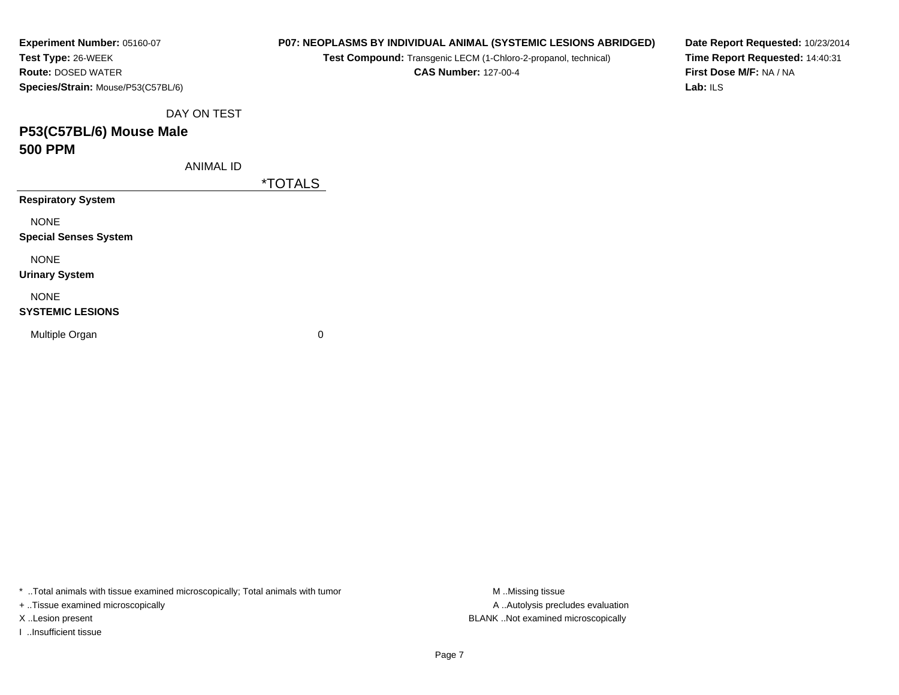| Experiment Number: 05160-07        | P07: NEOPLASMS BY INDIVIDUAL ANIMAL (SYSTEMIC LESIONS ABRIDGED) | Date Report Requested: 10/23/2014 |  |  |  |  |  |  |
|------------------------------------|-----------------------------------------------------------------|-----------------------------------|--|--|--|--|--|--|
| Test Type: 26-WEEK                 | Test Compound: Transgenic LECM (1-Chloro-2-propanol, technical) | Time Report Requested: 14:40:31   |  |  |  |  |  |  |
| <b>Route: DOSED WATER</b>          | <b>CAS Number: 127-00-4</b>                                     | First Dose M/F: NA / NA           |  |  |  |  |  |  |
| Species/Strain: Mouse/P53(C57BL/6) |                                                                 | Lab: ILS                          |  |  |  |  |  |  |
| DAY ON TEST                        |                                                                 |                                   |  |  |  |  |  |  |
| P53(C57BL/6) Mouse Male            |                                                                 |                                   |  |  |  |  |  |  |
| <b>500 PPM</b>                     |                                                                 |                                   |  |  |  |  |  |  |
| <b>ANIMAL ID</b>                   |                                                                 |                                   |  |  |  |  |  |  |
|                                    | <i><b>*TOTALS</b></i>                                           |                                   |  |  |  |  |  |  |
| <b>Respiratory System</b>          |                                                                 |                                   |  |  |  |  |  |  |
| <b>NONE</b>                        |                                                                 |                                   |  |  |  |  |  |  |
| <b>Special Senses System</b>       |                                                                 |                                   |  |  |  |  |  |  |
| <b>NONE</b>                        |                                                                 |                                   |  |  |  |  |  |  |
| <b>Urinary System</b>              |                                                                 |                                   |  |  |  |  |  |  |
| <b>NONE</b>                        |                                                                 |                                   |  |  |  |  |  |  |
| <b>SYSTEMIC LESIONS</b>            |                                                                 |                                   |  |  |  |  |  |  |
| Multiple Organ                     | 0                                                               |                                   |  |  |  |  |  |  |
|                                    |                                                                 |                                   |  |  |  |  |  |  |
|                                    |                                                                 |                                   |  |  |  |  |  |  |

\* ..Total animals with tissue examined microscopically; Total animals with tumor M..Missing tissue M ..Missing tissue

+ ..Tissue examined microscopically

I ..Insufficient tissue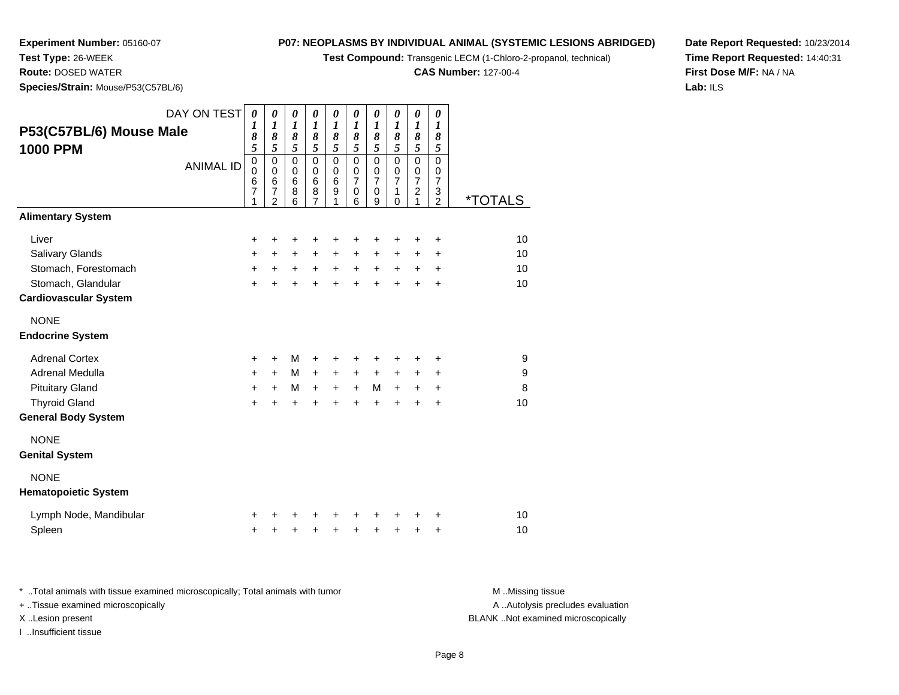**Test Compound:** Transgenic LECM (1-Chloro-2-propanol, technical)

**CAS Number:** 127-00-4

**Date Report Requested:** 10/23/2014**Time Report Requested:** 14:40:31**First Dose M/F:** NA / NA**Lab:** ILS

**Test Type:** 26-WEEK **Route:** DOSED WATER**Species/Strain:** Mouse/P53(C57BL/6)

**Experiment Number:** 05160-07

|                              | DAY ON TEST      | 0           | 0                                  | 0                | 0                   | 0                | 0                | 0                     | 0                | 0                   | 0                   |                       |
|------------------------------|------------------|-------------|------------------------------------|------------------|---------------------|------------------|------------------|-----------------------|------------------|---------------------|---------------------|-----------------------|
| P53(C57BL/6) Mouse Male      |                  | 1           | $\boldsymbol{l}$                   | $\boldsymbol{l}$ | $\boldsymbol{l}$    | $\boldsymbol{l}$ | $\boldsymbol{l}$ | $\boldsymbol{l}$      | $\boldsymbol{l}$ | $\boldsymbol{l}$    | $\boldsymbol{l}$    |                       |
|                              |                  | 8<br>5      | $\pmb{8}$<br>5                     | 8<br>5           | $\pmb{8}$<br>5      | 8<br>5           | 8<br>5           | 8<br>5                | 8<br>5           | 8<br>$\overline{5}$ | 8<br>5              |                       |
| <b>1000 PPM</b>              |                  | $\mathbf 0$ | $\mathbf 0$                        | $\mathbf 0$      | $\mathsf 0$         | $\mathsf 0$      | $\mathbf 0$      | $\overline{0}$        | $\overline{0}$   | $\overline{0}$      | $\overline{0}$      |                       |
|                              | <b>ANIMAL ID</b> | $\mathbf 0$ | $\pmb{0}$                          | $\mathbf 0$      | $\mathbf 0$         | $\pmb{0}$        | $\mathbf 0$      | $\mathbf 0$           | $\pmb{0}$        | $\pmb{0}$           | $\mathbf 0$         |                       |
|                              |                  | $\,6$       | $\,6\,$                            | $6\phantom{1}6$  | 6                   | $6\phantom{1}6$  | $\overline{7}$   | $\overline{7}$        | $\overline{7}$   | $\boldsymbol{7}$    | $\overline{7}$      |                       |
|                              |                  | 7<br>1      | $\boldsymbol{7}$<br>$\overline{2}$ | 8<br>6           | 8<br>$\overline{7}$ | 9<br>1           | 0<br>6           | $\boldsymbol{0}$<br>9 | 1<br>0           | $\frac{2}{1}$       | 3<br>$\overline{2}$ | <i><b>*TOTALS</b></i> |
| <b>Alimentary System</b>     |                  |             |                                    |                  |                     |                  |                  |                       |                  |                     |                     |                       |
| Liver                        |                  | +           | +                                  | +                | +                   | +                | +                | +                     | +                | +                   | +                   | 10                    |
| <b>Salivary Glands</b>       |                  | +           | $\ddot{}$                          | +                | $\ddot{}$           | $\ddot{}$        | $\ddot{}$        | +                     | +                | $\pm$               | +                   | 10                    |
| Stomach, Forestomach         |                  | +           | $\ddot{}$                          | $\ddot{}$        | $\ddot{}$           | $+$              | $\ddot{}$        | $+$                   | $\ddot{}$        | $\ddot{}$           | $\ddot{}$           | 10                    |
| Stomach, Glandular           |                  | $\ddot{}$   |                                    | ÷                | ÷                   | $\ddot{}$        | $\ddot{}$        | $\ddot{}$             |                  | $\ddot{}$           | $\ddot{}$           | 10                    |
| <b>Cardiovascular System</b> |                  |             |                                    |                  |                     |                  |                  |                       |                  |                     |                     |                       |
| <b>NONE</b>                  |                  |             |                                    |                  |                     |                  |                  |                       |                  |                     |                     |                       |
| <b>Endocrine System</b>      |                  |             |                                    |                  |                     |                  |                  |                       |                  |                     |                     |                       |
| <b>Adrenal Cortex</b>        |                  | $\ddot{}$   | $+$                                | м                | +                   | +                | ٠                | ٠                     | ٠                | ٠                   | +                   | 9                     |
| Adrenal Medulla              |                  | $\ddot{}$   | $+$                                | M                | $\ddot{}$           | $\ddot{}$        | $\ddot{}$        | $\ddot{}$             | $\ddot{}$        | +                   | $\ddot{}$           | 9                     |
| <b>Pituitary Gland</b>       |                  | $\ddot{}$   | $\ddot{}$                          | M                | $\ddot{}$           | $\ddot{}$        | $+$              | M                     | $\ddot{}$        | +                   | $\ddot{}$           | 8                     |
| <b>Thyroid Gland</b>         |                  | $\ddot{}$   | ÷                                  | $\ddot{}$        | +                   | $\ddot{}$        | ÷                | $\ddot{}$             |                  |                     | $\ddot{}$           | 10                    |
| <b>General Body System</b>   |                  |             |                                    |                  |                     |                  |                  |                       |                  |                     |                     |                       |
| <b>NONE</b>                  |                  |             |                                    |                  |                     |                  |                  |                       |                  |                     |                     |                       |
| <b>Genital System</b>        |                  |             |                                    |                  |                     |                  |                  |                       |                  |                     |                     |                       |
| <b>NONE</b>                  |                  |             |                                    |                  |                     |                  |                  |                       |                  |                     |                     |                       |
| <b>Hematopoietic System</b>  |                  |             |                                    |                  |                     |                  |                  |                       |                  |                     |                     |                       |
| Lymph Node, Mandibular       |                  |             |                                    |                  |                     |                  |                  |                       |                  |                     | +                   | 10                    |
| Spleen                       |                  | +           |                                    | +                | +                   | +                | +                | +                     | +                | +                   | +                   | 10                    |

| Total animals with tissue examined microscopically; Total animals with tumor | M Missing tissue                   |
|------------------------------------------------------------------------------|------------------------------------|
| + Tissue examined microscopically                                            | A Autolysis precludes evaluation   |
| X Lesion present                                                             | BLANK Not examined microscopically |
| …Insufficient tissue                                                         |                                    |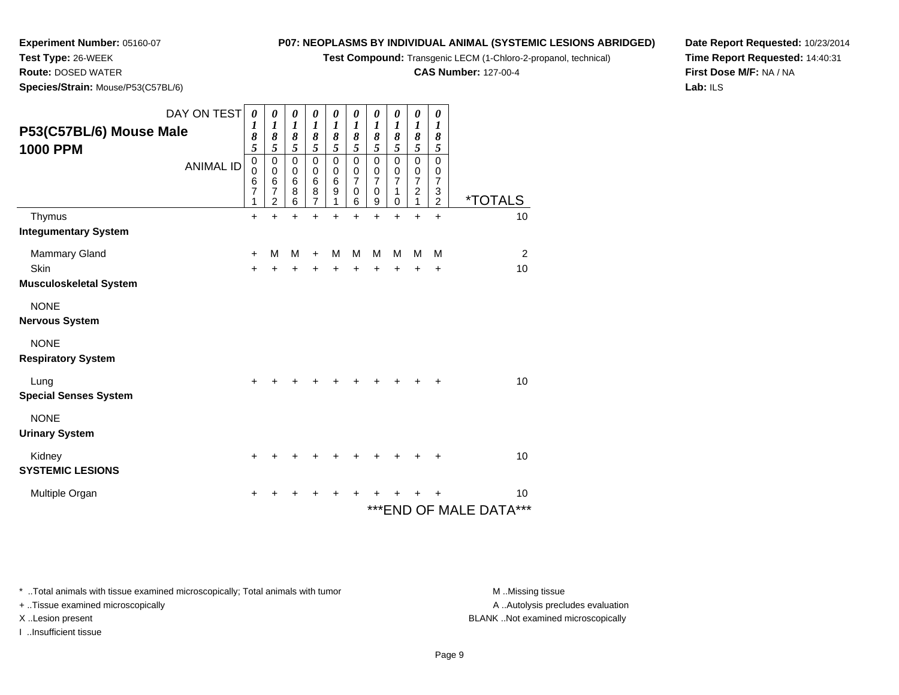**Test Compound:** Transgenic LECM (1-Chloro-2-propanol, technical)

**CAS Number:** 127-00-4

**Date Report Requested:** 10/23/2014**Time Report Requested:** 14:40:31**First Dose M/F:** NA / NA**Lab:** ILS

**Test Type:** 26-WEEK **Route:** DOSED WATER**Species/Strain:** Mouse/P53(C57BL/6)

**Experiment Number:** 05160-07

| P53(C57BL/6) Mouse Male<br><b>1000 PPM</b> | DAY ON TEST<br><b>ANIMAL ID</b> | 0<br>1<br>8<br>5<br>$\mathbf 0$<br>$\overline{0}$<br>$\overline{6}$<br>$\overline{7}$<br>1 | 0<br>1<br>8<br>5<br>0<br>$\mathbf 0$<br>6<br>$\overline{7}$<br>$\overline{2}$ | 0<br>1<br>8<br>$\overline{5}$<br>$\mathsf 0$<br>0<br>6<br>8<br>6 | 0<br>$\boldsymbol{l}$<br>8<br>5<br>$\Omega$<br>0<br>6<br>8<br>7 | 0<br>$\boldsymbol{l}$<br>8<br>5<br>$\mathbf 0$<br>$\mathbf 0$<br>$\,6$<br>$\boldsymbol{9}$<br>1 | 0<br>$\boldsymbol{l}$<br>8<br>5<br>$\mathbf 0$<br>$\pmb{0}$<br>$\overline{7}$<br>0<br>6 | 0<br>$\boldsymbol{l}$<br>8<br>5<br>$\mathbf 0$<br>0<br>$\overline{7}$<br>$\mathbf 0$<br>9 | 0<br>$\boldsymbol{l}$<br>8<br>5<br>$\mathbf 0$<br>$\mathbf 0$<br>$\overline{7}$<br>1<br>0 | $\boldsymbol{\theta}$<br>$\boldsymbol{l}$<br>8<br>5<br>$\mathbf 0$<br>$\pmb{0}$<br>$\overline{7}$<br>$\boldsymbol{2}$<br>1 | 0<br>$\boldsymbol{l}$<br>8<br>$\sqrt{5}$<br>$\mathbf 0$<br>$\pmb{0}$<br>$\overline{7}$<br>$\ensuremath{\mathsf{3}}$<br>$\overline{2}$ | <i><b>*TOTALS</b></i>             |
|--------------------------------------------|---------------------------------|--------------------------------------------------------------------------------------------|-------------------------------------------------------------------------------|------------------------------------------------------------------|-----------------------------------------------------------------|-------------------------------------------------------------------------------------------------|-----------------------------------------------------------------------------------------|-------------------------------------------------------------------------------------------|-------------------------------------------------------------------------------------------|----------------------------------------------------------------------------------------------------------------------------|---------------------------------------------------------------------------------------------------------------------------------------|-----------------------------------|
| Thymus                                     |                                 | $\ddot{}$                                                                                  | $\ddot{}$                                                                     | $\ddot{}$                                                        | ÷                                                               | $\ddot{}$                                                                                       | $\ddot{}$                                                                               | $\ddot{}$                                                                                 | $\ddot{}$                                                                                 | $\ddot{}$                                                                                                                  | $\ddot{}$                                                                                                                             | 10                                |
| <b>Integumentary System</b>                |                                 |                                                                                            |                                                                               |                                                                  |                                                                 |                                                                                                 |                                                                                         |                                                                                           |                                                                                           |                                                                                                                            |                                                                                                                                       |                                   |
| Mammary Gland                              |                                 | $\ddot{}$                                                                                  | М                                                                             | M                                                                | $\ddot{}$                                                       | M                                                                                               | M                                                                                       | M                                                                                         | M                                                                                         | M                                                                                                                          | M                                                                                                                                     | $\overline{2}$                    |
| Skin<br><b>Musculoskeletal System</b>      |                                 | $+$                                                                                        | $\ddot{}$                                                                     | $\ddot{}$                                                        | $\ddot{}$                                                       | $\ddot{}$                                                                                       | $\ddot{}$                                                                               | $\ddot{}$                                                                                 | $\ddot{}$                                                                                 | $\ddot{}$                                                                                                                  | $\ddot{}$                                                                                                                             | 10                                |
| <b>NONE</b><br><b>Nervous System</b>       |                                 |                                                                                            |                                                                               |                                                                  |                                                                 |                                                                                                 |                                                                                         |                                                                                           |                                                                                           |                                                                                                                            |                                                                                                                                       |                                   |
| <b>NONE</b><br><b>Respiratory System</b>   |                                 |                                                                                            |                                                                               |                                                                  |                                                                 |                                                                                                 |                                                                                         |                                                                                           |                                                                                           |                                                                                                                            |                                                                                                                                       |                                   |
| Lung<br><b>Special Senses System</b>       |                                 | $\ddot{}$                                                                                  |                                                                               |                                                                  |                                                                 |                                                                                                 |                                                                                         |                                                                                           |                                                                                           |                                                                                                                            | ٠                                                                                                                                     | 10                                |
| <b>NONE</b><br><b>Urinary System</b>       |                                 |                                                                                            |                                                                               |                                                                  |                                                                 |                                                                                                 |                                                                                         |                                                                                           |                                                                                           |                                                                                                                            |                                                                                                                                       |                                   |
| Kidney<br><b>SYSTEMIC LESIONS</b>          |                                 | +                                                                                          |                                                                               |                                                                  |                                                                 |                                                                                                 |                                                                                         |                                                                                           |                                                                                           |                                                                                                                            | +                                                                                                                                     | 10                                |
| Multiple Organ                             |                                 |                                                                                            |                                                                               |                                                                  |                                                                 |                                                                                                 |                                                                                         |                                                                                           |                                                                                           |                                                                                                                            |                                                                                                                                       | 10<br>***<br>*** END OF MALE DATA |

\* ..Total animals with tissue examined microscopically; Total animals with tumor **M** . Missing tissue M ..Missing tissue

+ ..Tissue examined microscopically

I ..Insufficient tissue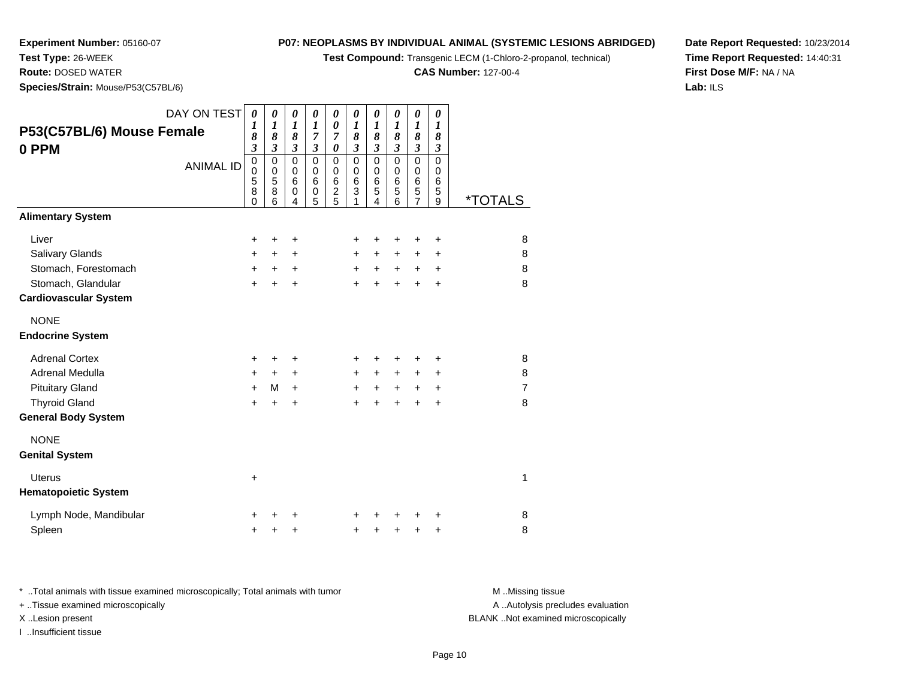**Test Compound:** Transgenic LECM (1-Chloro-2-propanol, technical)

**CAS Number:** 127-00-4

**Date Report Requested:** 10/23/2014**Time Report Requested:** 14:40:31**First Dose M/F:** NA / NA**Lab:** ILS

**Test Type:** 26-WEEK **Route:** DOSED WATER**Species/Strain:** Mouse/P53(C57BL/6)

**Experiment Number:** 05160-07

| DAY ON TEST<br>P53(C57BL/6) Mouse Female<br>0 PPM<br><b>ANIMAL ID</b><br><b>Alimentary System</b> | 0<br>1<br>8<br>$\boldsymbol{\mathfrak{z}}$<br>$\pmb{0}$<br>$\mathbf 0$<br>5<br>8<br>$\mathbf 0$ | 0<br>1<br>8<br>$\boldsymbol{\mathfrak{z}}$<br>$\mathbf 0$<br>$\mathbf 0$<br>5<br>8<br>6 | $\boldsymbol{\theta}$<br>$\boldsymbol{l}$<br>8<br>$\boldsymbol{\beta}$<br>$\pmb{0}$<br>$\mathbf 0$<br>6<br>0<br>4 | $\boldsymbol{\theta}$<br>$\boldsymbol{l}$<br>7<br>$\boldsymbol{\mathfrak{z}}$<br>$\pmb{0}$<br>0<br>6<br>0<br>5 | 0<br>$\boldsymbol{\theta}$<br>7<br>$\pmb{\theta}$<br>0<br>0<br>$\,6$<br>$\frac{2}{5}$ | $\pmb{\theta}$<br>1<br>8<br>$\mathfrak{z}$<br>$\mathbf 0$<br>0<br>6<br>3 | $\boldsymbol{\theta}$<br>$\boldsymbol{l}$<br>8<br>$\mathfrak{z}$<br>$\pmb{0}$<br>$\pmb{0}$<br>$\,6$<br>$\overline{5}$<br>4 | 0<br>$\boldsymbol{l}$<br>8<br>$\mathfrak{z}$<br>$\mathsf 0$<br>$\mathbf 0$<br>6<br>$\overline{5}$<br>6 | $\boldsymbol{\theta}$<br>$\boldsymbol{l}$<br>8<br>$\mathfrak{z}$<br>$\mathsf 0$<br>0<br>$\,6$<br>$\overline{5}$<br>$\overline{7}$ | $\boldsymbol{\theta}$<br>$\boldsymbol{l}$<br>8<br>$\boldsymbol{\beta}$<br>$\pmb{0}$<br>0<br>6<br>5<br>9 | <i><b>*TOTALS</b></i> |
|---------------------------------------------------------------------------------------------------|-------------------------------------------------------------------------------------------------|-----------------------------------------------------------------------------------------|-------------------------------------------------------------------------------------------------------------------|----------------------------------------------------------------------------------------------------------------|---------------------------------------------------------------------------------------|--------------------------------------------------------------------------|----------------------------------------------------------------------------------------------------------------------------|--------------------------------------------------------------------------------------------------------|-----------------------------------------------------------------------------------------------------------------------------------|---------------------------------------------------------------------------------------------------------|-----------------------|
|                                                                                                   |                                                                                                 |                                                                                         |                                                                                                                   |                                                                                                                |                                                                                       |                                                                          |                                                                                                                            |                                                                                                        |                                                                                                                                   |                                                                                                         |                       |
| Liver                                                                                             | $\ddot{}$                                                                                       | +                                                                                       | +                                                                                                                 |                                                                                                                |                                                                                       | +                                                                        | +                                                                                                                          | +                                                                                                      | +                                                                                                                                 | +                                                                                                       | 8                     |
| Salivary Glands                                                                                   | $\ddot{}$                                                                                       | $\ddot{}$                                                                               | $\ddot{}$                                                                                                         |                                                                                                                |                                                                                       | $\ddot{}$                                                                | $+$                                                                                                                        | $\ddot{}$                                                                                              | $\ddot{}$                                                                                                                         | +                                                                                                       | 8                     |
| Stomach, Forestomach                                                                              | $\ddot{}$                                                                                       | $\ddot{}$                                                                               | $\ddot{}$                                                                                                         |                                                                                                                |                                                                                       | $+$                                                                      | $+$                                                                                                                        | $+$                                                                                                    | $+$                                                                                                                               | $\ddot{}$                                                                                               | 8                     |
| Stomach, Glandular                                                                                | $\ddot{}$                                                                                       | $\ddot{}$                                                                               | $\ddot{}$                                                                                                         |                                                                                                                |                                                                                       | $\ddot{}$                                                                | $\ddot{}$                                                                                                                  | $\ddot{}$                                                                                              | $\ddot{}$                                                                                                                         | $\ddot{}$                                                                                               | 8                     |
| <b>Cardiovascular System</b>                                                                      |                                                                                                 |                                                                                         |                                                                                                                   |                                                                                                                |                                                                                       |                                                                          |                                                                                                                            |                                                                                                        |                                                                                                                                   |                                                                                                         |                       |
| <b>NONE</b><br><b>Endocrine System</b>                                                            |                                                                                                 |                                                                                         |                                                                                                                   |                                                                                                                |                                                                                       |                                                                          |                                                                                                                            |                                                                                                        |                                                                                                                                   |                                                                                                         |                       |
| <b>Adrenal Cortex</b>                                                                             | +                                                                                               | +                                                                                       | +                                                                                                                 |                                                                                                                |                                                                                       | +                                                                        |                                                                                                                            |                                                                                                        | +                                                                                                                                 | +                                                                                                       | 8                     |
| Adrenal Medulla                                                                                   | $\pm$                                                                                           | $\pm$                                                                                   | $\ddot{}$                                                                                                         |                                                                                                                |                                                                                       | $\ddot{}$                                                                | $+$                                                                                                                        | $+$                                                                                                    | $\ddot{}$                                                                                                                         | +                                                                                                       | 8                     |
| <b>Pituitary Gland</b>                                                                            | $+$                                                                                             | м                                                                                       | $\ddot{}$                                                                                                         |                                                                                                                |                                                                                       | $\ddot{}$                                                                | $+$                                                                                                                        | $+$                                                                                                    | $+$                                                                                                                               | $\ddot{}$                                                                                               | $\overline{7}$        |
| <b>Thyroid Gland</b>                                                                              | $+$                                                                                             | $\ddot{}$                                                                               | $\ddot{}$                                                                                                         |                                                                                                                |                                                                                       | $\ddot{}$                                                                | $\ddot{}$                                                                                                                  | $\ddot{}$                                                                                              | $\ddot{}$                                                                                                                         | $\ddot{}$                                                                                               | 8                     |
| <b>General Body System</b>                                                                        |                                                                                                 |                                                                                         |                                                                                                                   |                                                                                                                |                                                                                       |                                                                          |                                                                                                                            |                                                                                                        |                                                                                                                                   |                                                                                                         |                       |
| <b>NONE</b><br><b>Genital System</b>                                                              |                                                                                                 |                                                                                         |                                                                                                                   |                                                                                                                |                                                                                       |                                                                          |                                                                                                                            |                                                                                                        |                                                                                                                                   |                                                                                                         |                       |
| <b>Uterus</b><br><b>Hematopoietic System</b>                                                      | $\ddot{}$                                                                                       |                                                                                         |                                                                                                                   |                                                                                                                |                                                                                       |                                                                          |                                                                                                                            |                                                                                                        |                                                                                                                                   |                                                                                                         | 1                     |
| Lymph Node, Mandibular                                                                            |                                                                                                 |                                                                                         | +                                                                                                                 |                                                                                                                |                                                                                       | +                                                                        |                                                                                                                            |                                                                                                        |                                                                                                                                   | +                                                                                                       | 8                     |
| Spleen                                                                                            | +                                                                                               | +                                                                                       | +                                                                                                                 |                                                                                                                |                                                                                       | +                                                                        | +                                                                                                                          | +                                                                                                      | +                                                                                                                                 | +                                                                                                       | 8                     |

\* ..Total animals with tissue examined microscopically; Total animals with tumor **M** . Missing tissue M ..Missing tissue + ..Tissue examined microscopically

I ..Insufficient tissue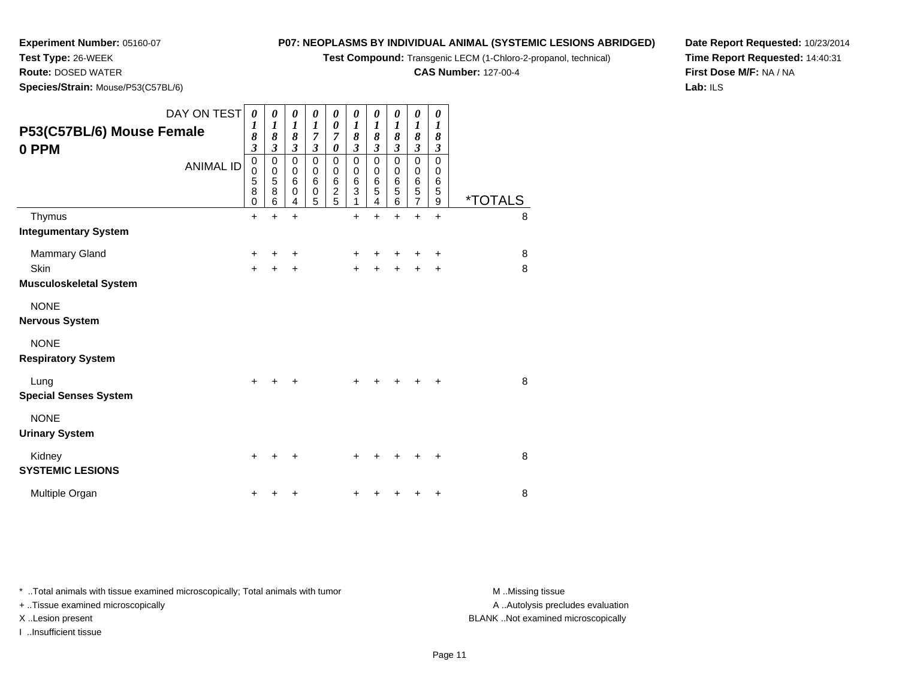**Test Compound:** Transgenic LECM (1-Chloro-2-propanol, technical)

**CAS Number:** 127-00-4

**Date Report Requested:** 10/23/2014**Time Report Requested:** 14:40:31**First Dose M/F:** NA / NA**Lab:** ILS

**Species/Strain:** Mouse/P53(C57BL/6)

**Experiment Number:** 05160-07

**Test Type:** 26-WEEK**Route:** DOSED WATER

| DAY ON TEST                   | $\boldsymbol{\theta}$   | 0                     | 0                    | 0                                  | 0                        | 0                      | 0                     | 0                     | 0                  | 0                |                       |
|-------------------------------|-------------------------|-----------------------|----------------------|------------------------------------|--------------------------|------------------------|-----------------------|-----------------------|--------------------|------------------|-----------------------|
| P53(C57BL/6) Mouse Female     | 1<br>8                  | $\boldsymbol{l}$<br>8 | 1<br>8               | $\boldsymbol{l}$<br>$\overline{7}$ | 0<br>$\overline{7}$      | $\boldsymbol{l}$<br>8  | $\boldsymbol{l}$<br>8 | $\boldsymbol{l}$<br>8 | 1<br>8             | 1<br>8           |                       |
| 0 PPM                         | $\overline{\mathbf{3}}$ | $\mathfrak{z}$        | $\mathfrak{z}$       | $\mathfrak{z}$                     | $\pmb{\theta}$           | $\boldsymbol{\beta}$   | $\mathfrak{z}$        | $\mathfrak{z}$        | $\mathfrak{z}$     | $\mathfrak{z}$   |                       |
| <b>ANIMAL ID</b>              | $\pmb{0}$               | $\pmb{0}$             | $\mathbf 0$          | $\mathbf 0$                        | $\mathbf 0$              | $\mathbf 0$            | $\mathbf 0$           | $\mathbf 0$           | $\mathbf 0$        | $\mathbf 0$      |                       |
|                               | $\pmb{0}$<br>5          | $\mathbf 0$<br>5      | $\mathbf 0$<br>$\,6$ | $\mathbf 0$<br>$6\phantom{1}6$     | $\pmb{0}$<br>$\,$ 6 $\,$ | $\mathbf 0$<br>$\,6\,$ | $\pmb{0}$             | $\,0\,$<br>$\,6$      | $\pmb{0}$<br>$\,6$ | 0<br>$\,6$       |                       |
|                               | $\overline{8}$          | 8                     | 0                    | $\pmb{0}$                          | $\overline{c}$           | $\sqrt{3}$             | $\frac{6}{5}$         | $\overline{5}$        | $\mathbf 5$        | 5                |                       |
|                               | $\mathbf 0$             | 6                     | 4                    | 5                                  | 5                        | 1                      | 4                     | 6                     | $\overline{7}$     | $\boldsymbol{9}$ | <i><b>*TOTALS</b></i> |
| Thymus                        | $+$                     | $\ddot{}$             | $\ddot{}$            |                                    |                          | $\ddot{}$              | $\ddot{}$             | $\ddot{}$             | $\ddot{}$          | $\ddot{}$        | 8                     |
| <b>Integumentary System</b>   |                         |                       |                      |                                    |                          |                        |                       |                       |                    |                  |                       |
| Mammary Gland                 | +                       | ٠                     | +                    |                                    |                          | +                      | +                     | +                     | ٠                  | +                | 8                     |
| <b>Skin</b>                   | $+$                     | $\ddot{}$             | +                    |                                    |                          | $\ddot{}$              |                       | $\pm$                 |                    | +                | 8                     |
| <b>Musculoskeletal System</b> |                         |                       |                      |                                    |                          |                        |                       |                       |                    |                  |                       |
| <b>NONE</b>                   |                         |                       |                      |                                    |                          |                        |                       |                       |                    |                  |                       |
| <b>Nervous System</b>         |                         |                       |                      |                                    |                          |                        |                       |                       |                    |                  |                       |
| <b>NONE</b>                   |                         |                       |                      |                                    |                          |                        |                       |                       |                    |                  |                       |
| <b>Respiratory System</b>     |                         |                       |                      |                                    |                          |                        |                       |                       |                    |                  |                       |
| Lung                          | $\ddot{}$               |                       | +                    |                                    |                          | +                      |                       | $+$                   |                    | +                | 8                     |
| <b>Special Senses System</b>  |                         |                       |                      |                                    |                          |                        |                       |                       |                    |                  |                       |
| <b>NONE</b>                   |                         |                       |                      |                                    |                          |                        |                       |                       |                    |                  |                       |
| <b>Urinary System</b>         |                         |                       |                      |                                    |                          |                        |                       |                       |                    |                  |                       |
| Kidney                        | $\ddot{}$               |                       | +                    |                                    |                          | +                      |                       | ÷                     | ٠                  | +                | 8                     |
| <b>SYSTEMIC LESIONS</b>       |                         |                       |                      |                                    |                          |                        |                       |                       |                    |                  |                       |
| Multiple Organ                | +                       |                       |                      |                                    |                          | +                      |                       |                       |                    |                  | 8                     |

\* ..Total animals with tissue examined microscopically; Total animals with tumor **M** . Missing tissue M ..Missing tissue

+ ..Tissue examined microscopically

I ..Insufficient tissue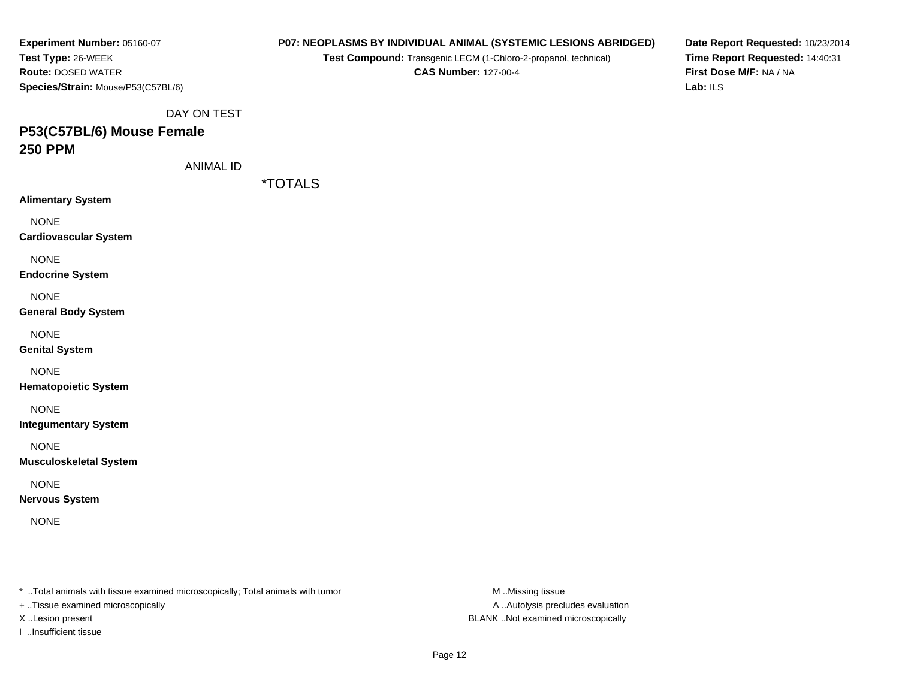| Experiment Number: 05160-07        |
|------------------------------------|
| Test Type: 26-WEEK                 |
| <b>Route: DOSED WATER</b>          |
| Species/Strain: Mouse/P53(C57BL/6) |

**Test Compound:** Transgenic LECM (1-Chloro-2-propanol, technical)

**CAS Number:** 127-00-4

**Date Report Requested:** 10/23/2014**Time Report Requested:** 14:40:31**First Dose M/F:** NA / NA**Lab:** ILS

DAY ON TEST

# **P53(C57BL/6) Mouse Female250 PPM**

ANIMAL ID

\*TOTALS

**Alimentary System**

NONE

**Cardiovascular System**

NONE

**Endocrine System**

NONE

**General Body System**

NONE

**Genital System**

NONE

**Hematopoietic System**

NONE

**Integumentary System**

NONE

**Musculoskeletal System**

NONE

**Nervous System**

NONE

\* ..Total animals with tissue examined microscopically; Total animals with tumor **M** ..Missing tissue M ..Missing tissue

+ ..Tissue examined microscopically

I ..Insufficient tissue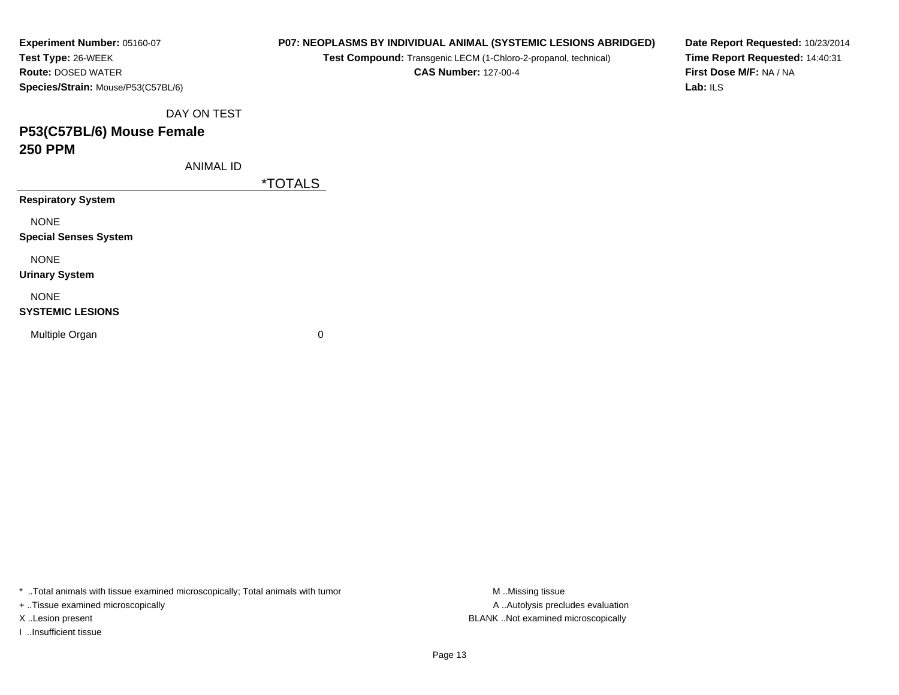| Experiment Number: 05160-07        |
|------------------------------------|
| Test Type: 26-WEEK                 |
| <b>Route: DOSED WATER</b>          |
| Species/Strain: Mouse/P53(C57BL/6) |

**Test Compound:** Transgenic LECM (1-Chloro-2-propanol, technical)

**CAS Number:** 127-00-4

**Date Report Requested:** 10/23/2014**Time Report Requested:** 14:40:31**First Dose M/F:** NA / NA**Lab:** ILS

DAY ON TEST

## **P53(C57BL/6) Mouse Female250 PPM**

ANIMAL ID

\*TOTALS

**Respiratory System**

NONE

**Special Senses System**

NONE

**Urinary System**

NONE

#### **SYSTEMIC LESIONS**

Multiple Organ

 $\mathbf n$  0

\* ..Total animals with tissue examined microscopically; Total animals with tumor **M** ...Missing tissue M ...Missing tissue

+ ..Tissue examined microscopically

I ..Insufficient tissue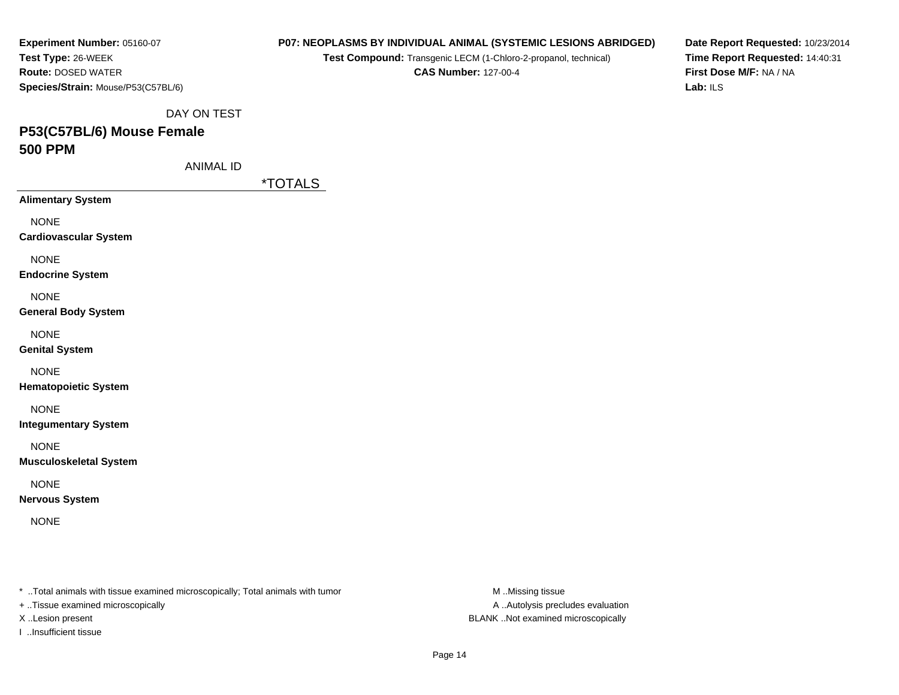| Experiment Number: 05160-07        |
|------------------------------------|
| Test Type: 26-WEEK                 |
| <b>Route: DOSED WATER</b>          |
| Species/Strain: Mouse/P53(C57BL/6) |

**Test Compound:** Transgenic LECM (1-Chloro-2-propanol, technical)

**CAS Number:** 127-00-4

**Date Report Requested:** 10/23/2014**Time Report Requested:** 14:40:31**First Dose M/F:** NA / NA**Lab:** ILS

DAY ON TEST

# **P53(C57BL/6) Mouse Female500 PPM**

ANIMAL ID

\*TOTALS

**Alimentary System**

NONE

**Cardiovascular System**

NONE

**Endocrine System**

NONE

**General Body System**

NONE

**Genital System**

NONE

**Hematopoietic System**

NONE

**Integumentary System**

NONE

**Musculoskeletal System**

NONE

**Nervous System**

NONE

\* ..Total animals with tissue examined microscopically; Total animals with tumor **M** ..Missing tissue M ..Missing tissue

+ ..Tissue examined microscopically

I ..Insufficient tissue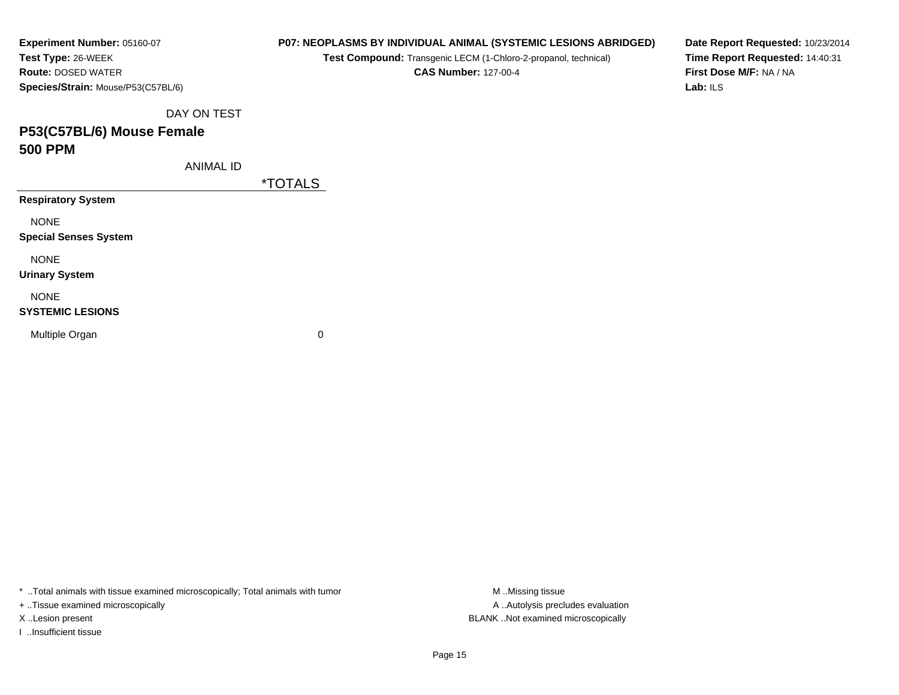| Experiment Number: 05160-07        |
|------------------------------------|
| Test Type: 26-WEEK                 |
| <b>Route:</b> DOSED WATER          |
| Species/Strain: Mouse/P53(C57BL/6) |

**Test Compound:** Transgenic LECM (1-Chloro-2-propanol, technical)

**CAS Number:** 127-00-4

**Date Report Requested:** 10/23/2014**Time Report Requested:** 14:40:31**First Dose M/F:** NA / NA**Lab:** ILS

DAY ON TEST

## **P53(C57BL/6) Mouse Female500 PPM**

ANIMAL ID

\*TOTALS

**Respiratory System**

NONE

**Special Senses System**

NONE

**Urinary System**

NONE

#### **SYSTEMIC LESIONS**

Multiple Organ

 $\mathbf n$  0

\* ..Total animals with tissue examined microscopically; Total animals with tumor **M** ...Missing tissue M ...Missing tissue

+ ..Tissue examined microscopically

I ..Insufficient tissue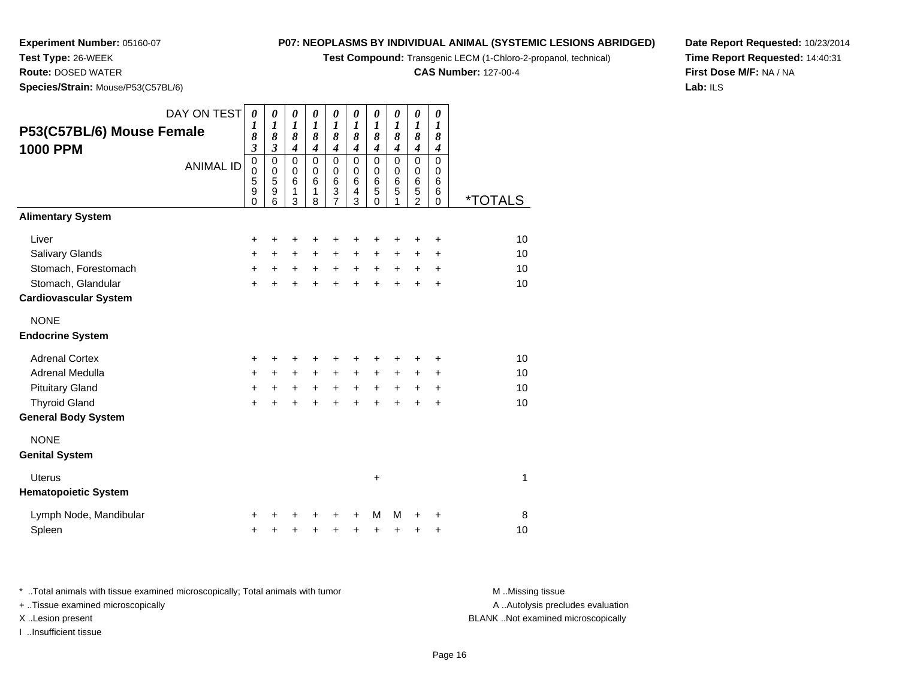**Test Compound:** Transgenic LECM (1-Chloro-2-propanol, technical)

**CAS Number:** 127-00-4

**Date Report Requested:** 10/23/2014**Time Report Requested:** 14:40:31**First Dose M/F:** NA / NA**Lab:** ILS

**Test Type:** 26-WEEK **Route:** DOSED WATER**Species/Strain:** Mouse/P53(C57BL/6)

**Experiment Number:** 05160-07

| P53(C57BL/6) Mouse Female<br><b>1000 PPM</b>       | DAY ON TEST<br><b>ANIMAL ID</b> | $\boldsymbol{\theta}$<br>1<br>8<br>$\mathfrak{z}$<br>$\mathbf 0$<br>$\mathbf 0$<br>5<br>9<br>$\Omega$ | 0<br>$\boldsymbol{\mathcal{I}}$<br>8<br>$\mathfrak{z}$<br>$\mathbf 0$<br>$\mathbf 0$<br>$\overline{5}$<br>9<br>6 | 0<br>$\boldsymbol{l}$<br>8<br>$\boldsymbol{4}$<br>$\pmb{0}$<br>$\mathbf 0$<br>$6\phantom{1}6$<br>1<br>3 | 0<br>1<br>8<br>$\overline{\boldsymbol{4}}$<br>0<br>$\pmb{0}$<br>6<br>1<br>8 | 0<br>$\boldsymbol{l}$<br>8<br>$\overline{\mathbf{4}}$<br>0<br>$\pmb{0}$<br>6<br>3<br>7 | 0<br>1<br>8<br>$\overline{\boldsymbol{4}}$<br>$\mathbf 0$<br>$\mathbf 0$<br>6<br>$\overline{4}$<br>3 | 0<br>1<br>8<br>$\overline{\boldsymbol{4}}$<br>0<br>$\pmb{0}$<br>$6\phantom{1}6$<br>5<br>$\Omega$ | 0<br>1<br>8<br>$\overline{4}$<br>$\mathbf 0$<br>$\mathbf 0$<br>$\,6$<br>5<br>1 | 0<br>$\boldsymbol{l}$<br>8<br>$\overline{4}$<br>$\mathbf 0$<br>$\pmb{0}$<br>$\,6$<br>5<br>$\overline{2}$ | 0<br>$\boldsymbol{l}$<br>8<br>$\boldsymbol{4}$<br>0<br>$\pmb{0}$<br>6<br>6<br>$\Omega$ | <i><b>*TOTALS</b></i> |
|----------------------------------------------------|---------------------------------|-------------------------------------------------------------------------------------------------------|------------------------------------------------------------------------------------------------------------------|---------------------------------------------------------------------------------------------------------|-----------------------------------------------------------------------------|----------------------------------------------------------------------------------------|------------------------------------------------------------------------------------------------------|--------------------------------------------------------------------------------------------------|--------------------------------------------------------------------------------|----------------------------------------------------------------------------------------------------------|----------------------------------------------------------------------------------------|-----------------------|
| <b>Alimentary System</b>                           |                                 |                                                                                                       |                                                                                                                  |                                                                                                         |                                                                             |                                                                                        |                                                                                                      |                                                                                                  |                                                                                |                                                                                                          |                                                                                        |                       |
| Liver<br><b>Salivary Glands</b>                    |                                 | $\ddot{}$<br>+                                                                                        | +<br>$\ddot{}$                                                                                                   | $\ddot{}$<br>$\pm$                                                                                      | +<br>$\ddot{}$                                                              | +<br>+                                                                                 | ÷<br>$\ddot{}$                                                                                       | +<br>$\ddot{}$                                                                                   | +<br>$\ddot{}$                                                                 | +<br>$\ddot{}$                                                                                           | $\ddot{}$<br>$\ddot{}$                                                                 | 10<br>10              |
| Stomach, Forestomach                               |                                 | $\ddot{}$                                                                                             | $\ddot{}$                                                                                                        | $\ddot{}$                                                                                               | $+$                                                                         | $+$                                                                                    | $\ddot{}$                                                                                            | $+$                                                                                              | $+$                                                                            | $\ddot{}$                                                                                                | +                                                                                      | 10                    |
| Stomach, Glandular<br><b>Cardiovascular System</b> |                                 | $\ddot{}$                                                                                             | $\ddot{}$                                                                                                        | $\ddot{}$                                                                                               | $\ddot{}$                                                                   | $\ddot{}$                                                                              | $\ddot{}$                                                                                            | $\ddot{}$                                                                                        | $\ddot{}$                                                                      | $\ddot{}$                                                                                                | $\ddot{}$                                                                              | 10                    |
| <b>NONE</b><br><b>Endocrine System</b>             |                                 |                                                                                                       |                                                                                                                  |                                                                                                         |                                                                             |                                                                                        |                                                                                                      |                                                                                                  |                                                                                |                                                                                                          |                                                                                        |                       |
| <b>Adrenal Cortex</b>                              |                                 | +                                                                                                     | +                                                                                                                | ٠                                                                                                       |                                                                             | +                                                                                      |                                                                                                      |                                                                                                  | ٠                                                                              | ٠                                                                                                        | +                                                                                      | 10                    |
| Adrenal Medulla                                    |                                 | $\ddot{}$                                                                                             | $\ddot{}$                                                                                                        | $\ddot{}$                                                                                               | $+$                                                                         | $\ddot{}$                                                                              | $\ddot{}$                                                                                            | $\ddot{}$                                                                                        | $\ddot{}$                                                                      | +                                                                                                        | +                                                                                      | 10                    |
| <b>Pituitary Gland</b>                             |                                 | $\ddot{}$                                                                                             | $\ddot{}$                                                                                                        | $\ddot{}$                                                                                               | $\ddot{}$                                                                   | $+$                                                                                    | $\ddot{}$                                                                                            | $\ddot{}$                                                                                        | $\ddot{}$                                                                      | $\ddot{}$                                                                                                | $\ddot{}$                                                                              | 10                    |
| <b>Thyroid Gland</b>                               |                                 | $\ddot{}$                                                                                             | $\ddot{}$                                                                                                        | $\ddot{}$                                                                                               | $\ddot{}$                                                                   | $\ddot{}$                                                                              | $\ddot{}$                                                                                            | $\ddot{}$                                                                                        | $\ddot{}$                                                                      | +                                                                                                        | +                                                                                      | 10                    |
| <b>General Body System</b>                         |                                 |                                                                                                       |                                                                                                                  |                                                                                                         |                                                                             |                                                                                        |                                                                                                      |                                                                                                  |                                                                                |                                                                                                          |                                                                                        |                       |
| <b>NONE</b><br><b>Genital System</b>               |                                 |                                                                                                       |                                                                                                                  |                                                                                                         |                                                                             |                                                                                        |                                                                                                      |                                                                                                  |                                                                                |                                                                                                          |                                                                                        |                       |
| <b>Uterus</b><br><b>Hematopoietic System</b>       |                                 |                                                                                                       |                                                                                                                  |                                                                                                         |                                                                             |                                                                                        |                                                                                                      | $\ddot{}$                                                                                        |                                                                                |                                                                                                          |                                                                                        | 1                     |
| Lymph Node, Mandibular                             |                                 | ٠                                                                                                     |                                                                                                                  |                                                                                                         |                                                                             |                                                                                        | ٠                                                                                                    | M                                                                                                | M                                                                              | +                                                                                                        | +                                                                                      | 8                     |
| Spleen                                             |                                 | +                                                                                                     | +                                                                                                                | +                                                                                                       | +                                                                           | +                                                                                      | +                                                                                                    | +                                                                                                | +                                                                              | +                                                                                                        | +                                                                                      | 10                    |

\* ..Total animals with tissue examined microscopically; Total animals with tumor **M** . Missing tissue M ..Missing tissue A ..Autolysis precludes evaluation + ..Tissue examined microscopically X ..Lesion present BLANK ..Not examined microscopicallyI ..Insufficient tissue